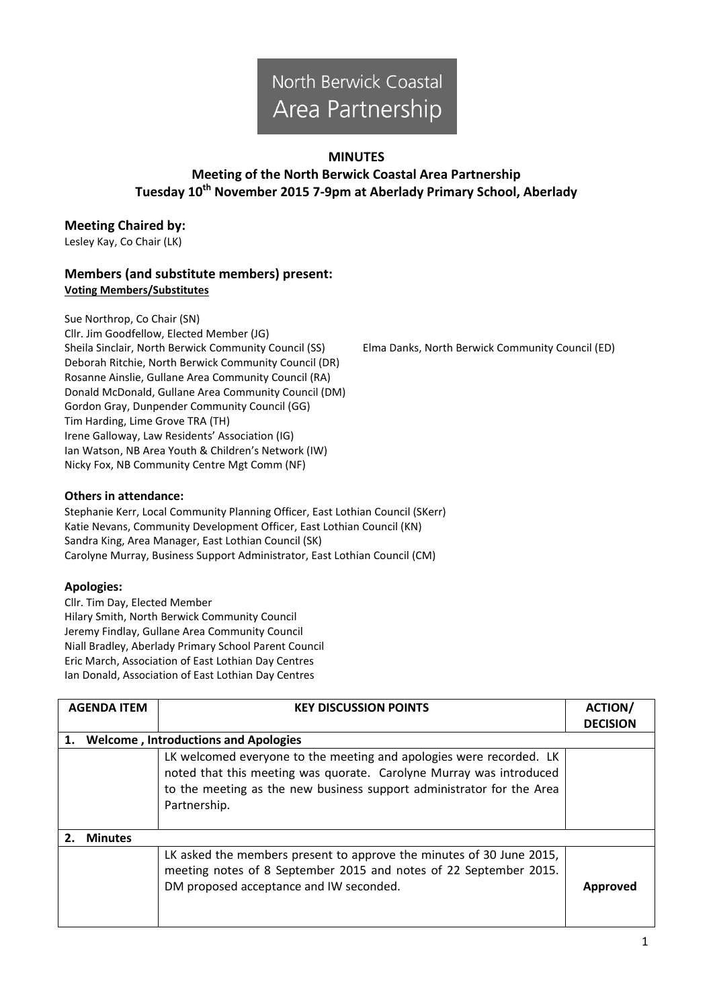# North Berwick Coastal Area Partnership

#### **MINUTES**

## **Meeting of the North Berwick Coastal Area Partnership Tuesday 10th November 2015 7-9pm at Aberlady Primary School, Aberlady**

### **Meeting Chaired by:**

Lesley Kay, Co Chair (LK)

#### **Members (and substitute members) present: Voting Members/Substitutes**

Sue Northrop, Co Chair (SN) Cllr. Jim Goodfellow, Elected Member (JG) Sheila Sinclair, North Berwick Community Council (SS) Elma Danks, North Berwick Community Council (ED) Deborah Ritchie, North Berwick Community Council (DR) Rosanne Ainslie, Gullane Area Community Council (RA) Donald McDonald, Gullane Area Community Council (DM) Gordon Gray, Dunpender Community Council (GG) Tim Harding, Lime Grove TRA (TH) Irene Galloway, Law Residents' Association (IG) Ian Watson, NB Area Youth & Children's Network (IW) Nicky Fox, NB Community Centre Mgt Comm (NF)

**Others in attendance:**

Stephanie Kerr, Local Community Planning Officer, East Lothian Council (SKerr) Katie Nevans, Community Development Officer, East Lothian Council (KN) Sandra King, Area Manager, East Lothian Council (SK) Carolyne Murray, Business Support Administrator, East Lothian Council (CM)

#### **Apologies:**

Cllr. Tim Day, Elected Member Hilary Smith, North Berwick Community Council Jeremy Findlay, Gullane Area Community Council Niall Bradley, Aberlady Primary School Parent Council Eric March, Association of East Lothian Day Centres Ian Donald, Association of East Lothian Day Centres

|    | <b>AGENDA ITEM</b>                          | <b>KEY DISCUSSION POINTS</b>                                                                                                                                                                                                        | <b>ACTION/</b><br><b>DECISION</b> |  |  |
|----|---------------------------------------------|-------------------------------------------------------------------------------------------------------------------------------------------------------------------------------------------------------------------------------------|-----------------------------------|--|--|
| 1. | <b>Welcome, Introductions and Apologies</b> |                                                                                                                                                                                                                                     |                                   |  |  |
|    |                                             | LK welcomed everyone to the meeting and apologies were recorded. LK<br>noted that this meeting was quorate. Carolyne Murray was introduced<br>to the meeting as the new business support administrator for the Area<br>Partnership. |                                   |  |  |
|    | <b>Minutes</b>                              |                                                                                                                                                                                                                                     |                                   |  |  |
|    |                                             | LK asked the members present to approve the minutes of 30 June 2015,<br>meeting notes of 8 September 2015 and notes of 22 September 2015.<br>DM proposed acceptance and IW seconded.                                                | Approved                          |  |  |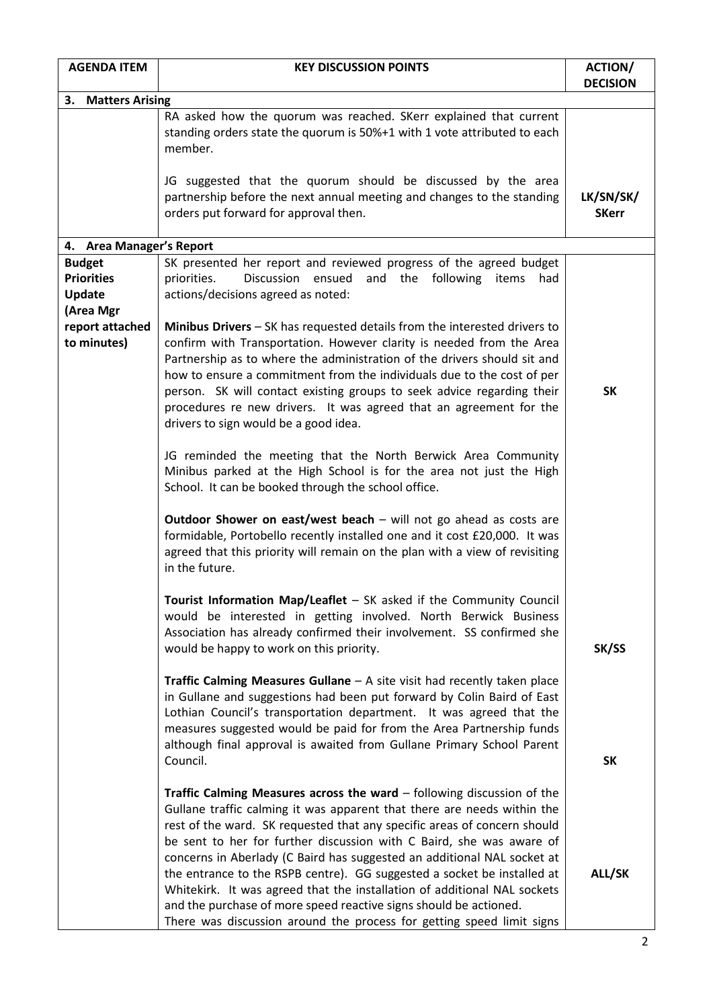| <b>AGENDA ITEM</b>                                               | <b>KEY DISCUSSION POINTS</b>                                                                                                                                                                                                                                                                                                                                                                                                                                                                     | <b>ACTION/</b><br><b>DECISION</b> |  |  |
|------------------------------------------------------------------|--------------------------------------------------------------------------------------------------------------------------------------------------------------------------------------------------------------------------------------------------------------------------------------------------------------------------------------------------------------------------------------------------------------------------------------------------------------------------------------------------|-----------------------------------|--|--|
| 3. Matters Arising                                               |                                                                                                                                                                                                                                                                                                                                                                                                                                                                                                  |                                   |  |  |
|                                                                  | RA asked how the quorum was reached. SKerr explained that current<br>standing orders state the quorum is 50%+1 with 1 vote attributed to each<br>member.                                                                                                                                                                                                                                                                                                                                         |                                   |  |  |
|                                                                  | JG suggested that the quorum should be discussed by the area<br>partnership before the next annual meeting and changes to the standing<br>orders put forward for approval then.                                                                                                                                                                                                                                                                                                                  | LK/SN/SK/<br><b>SKerr</b>         |  |  |
| 4. Area Manager's Report                                         |                                                                                                                                                                                                                                                                                                                                                                                                                                                                                                  |                                   |  |  |
| <b>Budget</b><br><b>Priorities</b><br><b>Update</b><br>(Area Mgr | SK presented her report and reviewed progress of the agreed budget<br>Discussion ensued<br>and the following items<br>priorities.<br>had<br>actions/decisions agreed as noted:                                                                                                                                                                                                                                                                                                                   |                                   |  |  |
| report attached<br>to minutes)                                   | Minibus Drivers - SK has requested details from the interested drivers to<br>confirm with Transportation. However clarity is needed from the Area<br>Partnership as to where the administration of the drivers should sit and<br>how to ensure a commitment from the individuals due to the cost of per<br>person. SK will contact existing groups to seek advice regarding their<br>procedures re new drivers. It was agreed that an agreement for the<br>drivers to sign would be a good idea. | <b>SK</b>                         |  |  |
|                                                                  | JG reminded the meeting that the North Berwick Area Community<br>Minibus parked at the High School is for the area not just the High<br>School. It can be booked through the school office.                                                                                                                                                                                                                                                                                                      |                                   |  |  |
|                                                                  | Outdoor Shower on east/west beach - will not go ahead as costs are<br>formidable, Portobello recently installed one and it cost £20,000. It was<br>agreed that this priority will remain on the plan with a view of revisiting<br>in the future.                                                                                                                                                                                                                                                 |                                   |  |  |
|                                                                  | Tourist Information Map/Leaflet - SK asked if the Community Council<br>would be interested in getting involved. North Berwick Business<br>Association has already confirmed their involvement. SS confirmed she<br>would be happy to work on this priority.                                                                                                                                                                                                                                      | SK/SS                             |  |  |
|                                                                  | <b>Traffic Calming Measures Gullane</b> $-$ A site visit had recently taken place<br>in Gullane and suggestions had been put forward by Colin Baird of East<br>Lothian Council's transportation department. It was agreed that the<br>measures suggested would be paid for from the Area Partnership funds<br>although final approval is awaited from Gullane Primary School Parent<br>Council.                                                                                                  | <b>SK</b>                         |  |  |
|                                                                  |                                                                                                                                                                                                                                                                                                                                                                                                                                                                                                  |                                   |  |  |
|                                                                  | Traffic Calming Measures across the ward $-$ following discussion of the<br>Gullane traffic calming it was apparent that there are needs within the<br>rest of the ward. SK requested that any specific areas of concern should<br>be sent to her for further discussion with C Baird, she was aware of<br>concerns in Aberlady (C Baird has suggested an additional NAL socket at<br>the entrance to the RSPB centre). GG suggested a socket be installed at                                    | ALL/SK                            |  |  |
|                                                                  | Whitekirk. It was agreed that the installation of additional NAL sockets<br>and the purchase of more speed reactive signs should be actioned.<br>There was discussion around the process for getting speed limit signs                                                                                                                                                                                                                                                                           |                                   |  |  |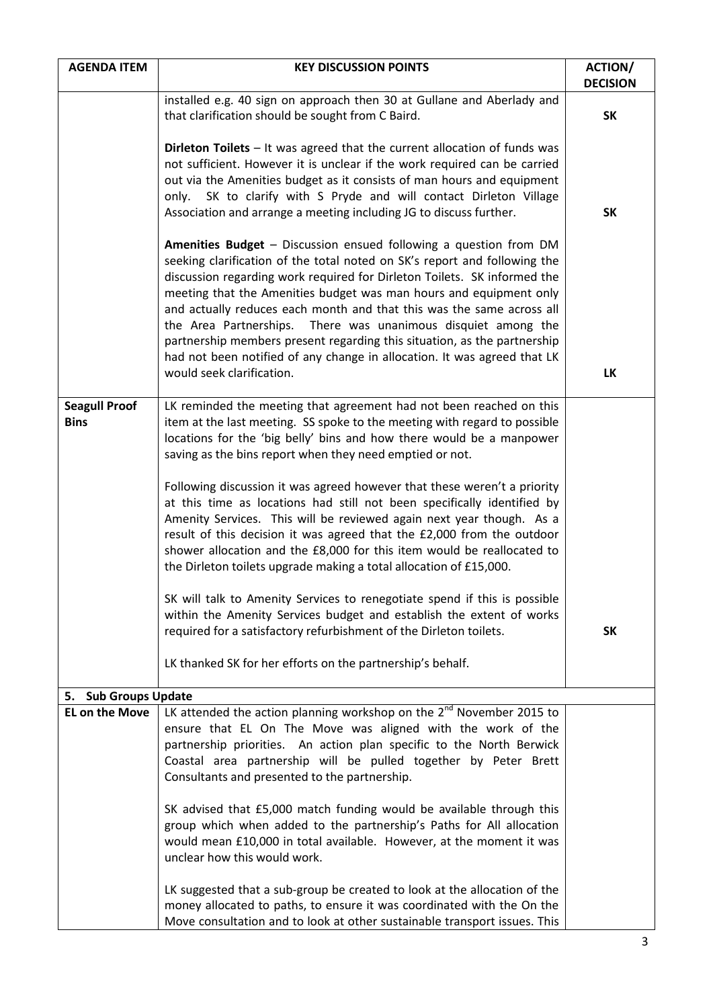| <b>AGENDA ITEM</b>                  | <b>KEY DISCUSSION POINTS</b>                                                                                                                                                                                                                                                                                                                                                                                                                           | <b>ACTION/</b><br><b>DECISION</b> |
|-------------------------------------|--------------------------------------------------------------------------------------------------------------------------------------------------------------------------------------------------------------------------------------------------------------------------------------------------------------------------------------------------------------------------------------------------------------------------------------------------------|-----------------------------------|
|                                     | installed e.g. 40 sign on approach then 30 at Gullane and Aberlady and                                                                                                                                                                                                                                                                                                                                                                                 |                                   |
|                                     | that clarification should be sought from C Baird.                                                                                                                                                                                                                                                                                                                                                                                                      | <b>SK</b>                         |
|                                     | Dirleton Toilets $-$ It was agreed that the current allocation of funds was<br>not sufficient. However it is unclear if the work required can be carried<br>out via the Amenities budget as it consists of man hours and equipment<br>SK to clarify with S Pryde and will contact Dirleton Village<br>only.<br>Association and arrange a meeting including JG to discuss further.<br>Amenities Budget - Discussion ensued following a question from DM | <b>SK</b>                         |
|                                     | seeking clarification of the total noted on SK's report and following the<br>discussion regarding work required for Dirleton Toilets. SK informed the<br>meeting that the Amenities budget was man hours and equipment only<br>and actually reduces each month and that this was the same across all<br>the Area Partnerships. There was unanimous disquiet among the<br>partnership members present regarding this situation, as the partnership      |                                   |
|                                     | had not been notified of any change in allocation. It was agreed that LK<br>would seek clarification.                                                                                                                                                                                                                                                                                                                                                  | <b>LK</b>                         |
| <b>Seagull Proof</b><br><b>Bins</b> | LK reminded the meeting that agreement had not been reached on this<br>item at the last meeting. SS spoke to the meeting with regard to possible<br>locations for the 'big belly' bins and how there would be a manpower<br>saving as the bins report when they need emptied or not.                                                                                                                                                                   |                                   |
|                                     | Following discussion it was agreed however that these weren't a priority<br>at this time as locations had still not been specifically identified by<br>Amenity Services. This will be reviewed again next year though. As a<br>result of this decision it was agreed that the £2,000 from the outdoor<br>shower allocation and the £8,000 for this item would be reallocated to<br>the Dirleton toilets upgrade making a total allocation of £15,000.  |                                   |
|                                     | SK will talk to Amenity Services to renegotiate spend if this is possible<br>within the Amenity Services budget and establish the extent of works<br>required for a satisfactory refurbishment of the Dirleton toilets.                                                                                                                                                                                                                                | <b>SK</b>                         |
|                                     | LK thanked SK for her efforts on the partnership's behalf.                                                                                                                                                                                                                                                                                                                                                                                             |                                   |
| <b>Sub Groups Update</b><br>5.      |                                                                                                                                                                                                                                                                                                                                                                                                                                                        |                                   |
| <b>EL on the Move</b>               | LK attended the action planning workshop on the $2^{nd}$ November 2015 to<br>ensure that EL On The Move was aligned with the work of the<br>partnership priorities. An action plan specific to the North Berwick<br>Coastal area partnership will be pulled together by Peter Brett<br>Consultants and presented to the partnership.                                                                                                                   |                                   |
|                                     | SK advised that £5,000 match funding would be available through this<br>group which when added to the partnership's Paths for All allocation<br>would mean £10,000 in total available. However, at the moment it was<br>unclear how this would work.                                                                                                                                                                                                   |                                   |
|                                     | LK suggested that a sub-group be created to look at the allocation of the<br>money allocated to paths, to ensure it was coordinated with the On the<br>Move consultation and to look at other sustainable transport issues. This                                                                                                                                                                                                                       |                                   |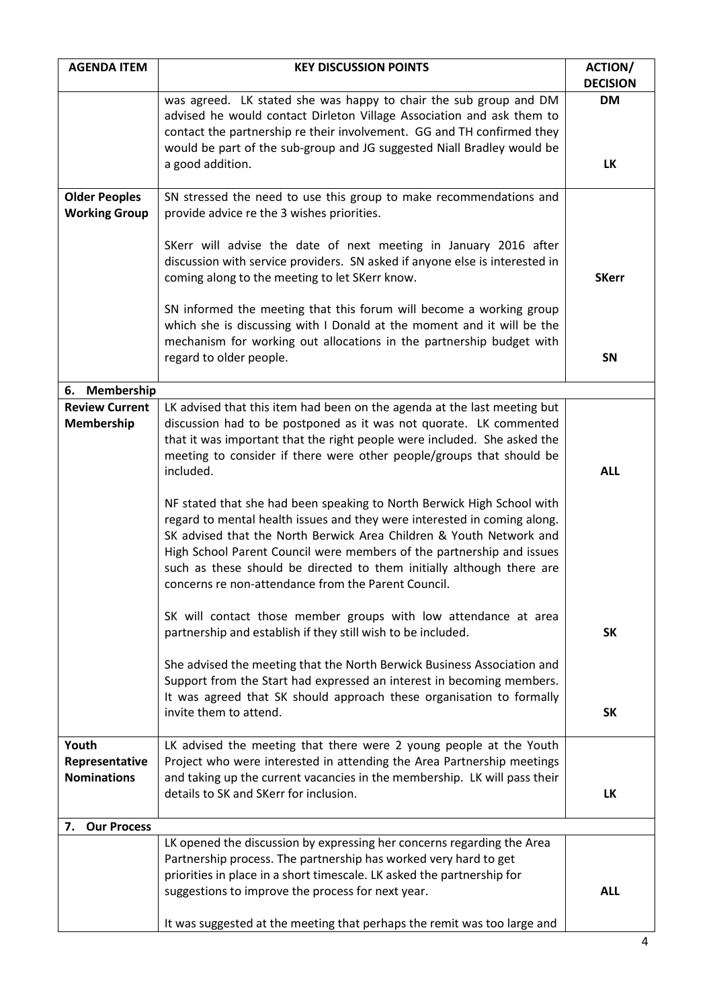| <b>AGENDA ITEM</b>                            | <b>KEY DISCUSSION POINTS</b>                                                                                                                                                                                                                                                                                                                                                                                                       | <b>ACTION/</b><br><b>DECISION</b> |
|-----------------------------------------------|------------------------------------------------------------------------------------------------------------------------------------------------------------------------------------------------------------------------------------------------------------------------------------------------------------------------------------------------------------------------------------------------------------------------------------|-----------------------------------|
|                                               | was agreed. LK stated she was happy to chair the sub group and DM<br>advised he would contact Dirleton Village Association and ask them to<br>contact the partnership re their involvement. GG and TH confirmed they<br>would be part of the sub-group and JG suggested Niall Bradley would be<br>a good addition.                                                                                                                 | <b>DM</b><br>LK                   |
| <b>Older Peoples</b>                          | SN stressed the need to use this group to make recommendations and                                                                                                                                                                                                                                                                                                                                                                 |                                   |
| <b>Working Group</b>                          | provide advice re the 3 wishes priorities.                                                                                                                                                                                                                                                                                                                                                                                         |                                   |
|                                               | SKerr will advise the date of next meeting in January 2016 after<br>discussion with service providers. SN asked if anyone else is interested in<br>coming along to the meeting to let SKerr know.                                                                                                                                                                                                                                  | <b>SKerr</b>                      |
|                                               | SN informed the meeting that this forum will become a working group<br>which she is discussing with I Donald at the moment and it will be the<br>mechanism for working out allocations in the partnership budget with                                                                                                                                                                                                              |                                   |
|                                               | regard to older people.                                                                                                                                                                                                                                                                                                                                                                                                            | SN                                |
| Membership<br>6.                              |                                                                                                                                                                                                                                                                                                                                                                                                                                    |                                   |
| <b>Review Current</b><br>Membership           | LK advised that this item had been on the agenda at the last meeting but<br>discussion had to be postponed as it was not quorate. LK commented<br>that it was important that the right people were included. She asked the<br>meeting to consider if there were other people/groups that should be<br>included.                                                                                                                    | <b>ALL</b>                        |
|                                               | NF stated that she had been speaking to North Berwick High School with<br>regard to mental health issues and they were interested in coming along.<br>SK advised that the North Berwick Area Children & Youth Network and<br>High School Parent Council were members of the partnership and issues<br>such as these should be directed to them initially although there are<br>concerns re non-attendance from the Parent Council. |                                   |
|                                               | SK will contact those member groups with low attendance at area<br>partnership and establish if they still wish to be included.                                                                                                                                                                                                                                                                                                    | <b>SK</b>                         |
|                                               | She advised the meeting that the North Berwick Business Association and<br>Support from the Start had expressed an interest in becoming members.<br>It was agreed that SK should approach these organisation to formally                                                                                                                                                                                                           |                                   |
|                                               | invite them to attend.                                                                                                                                                                                                                                                                                                                                                                                                             | <b>SK</b>                         |
| Youth<br>Representative<br><b>Nominations</b> | LK advised the meeting that there were 2 young people at the Youth<br>Project who were interested in attending the Area Partnership meetings<br>and taking up the current vacancies in the membership. LK will pass their<br>details to SK and SKerr for inclusion.                                                                                                                                                                | <b>LK</b>                         |
| 7. Our Process                                |                                                                                                                                                                                                                                                                                                                                                                                                                                    |                                   |
|                                               | LK opened the discussion by expressing her concerns regarding the Area<br>Partnership process. The partnership has worked very hard to get<br>priorities in place in a short timescale. LK asked the partnership for<br>suggestions to improve the process for next year.<br>It was suggested at the meeting that perhaps the remit was too large and                                                                              | <b>ALL</b>                        |